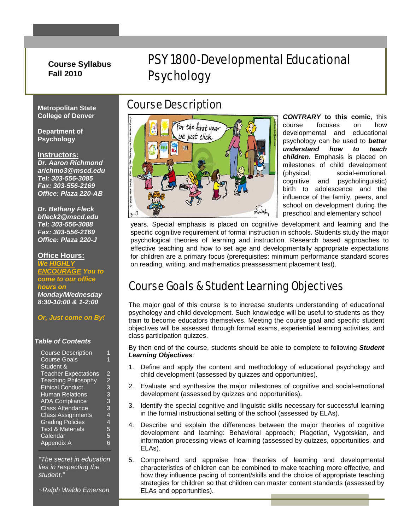## **Course Syllabus Fall 2010**

# PSY 1800-Developmental Educational Psychology

**Metropolitan State College of Denver**

**Department of Psychology**

#### **Instructors:**

*Dr. Aaron Richmond arichmo3@mscd.edu Tel: 303-556-3085 Fax: 303-556-2169 Office: Plaza 220-AB*

*Dr. Bethany Fleck bfleck2@mscd.edu Tel: 303-556-3088 Fax: 303-556-2169 Office: Plaza 220-J*

#### **Office Hours:**

*We HIGHLY ENCOURAGE You to come to our office hours on Monday/Wednesday 8:30-10:00 & 1-2:00*

### *Or, Just come on By!*

#### *Table of Contents*

| <b>Course Description</b>   |                |
|-----------------------------|----------------|
| <b>Course Goals</b>         |                |
| Student &                   |                |
| <b>Teacher Expectations</b> | 2              |
| <b>Teaching Philosophy</b>  | $\overline{2}$ |
| <b>Ethical Conduct</b>      | 3              |
| <b>Human Relations</b>      | 3              |
| <b>ADA Compliance</b>       | 3              |
| <b>Class Attendance</b>     | 3              |
| <b>Class Assignments</b>    | 4              |
| <b>Grading Policies</b>     | 4              |
| <b>Text &amp; Materials</b> | 5              |
| Calendar                    | 5              |
| Appendix A                  | 6              |

*"The secret in education lies in respecting the student."*

*~Ralph Waldo Emerson*

## Course Description



*CONTRARY* **to this comic**, this course focuses on how developmental and educational psychology can be used to *better understand how to teach children*. Emphasis is placed on milestones of child development (physical, social-emotional, cognitive and psycholinguistic) birth to adolescence and the influence of the family, peers, and school on development during the preschool and elementary school

years. Special emphasis is placed on cognitive development and learning and the specific cognitive requirement of formal instruction in schools. Students study the major psychological theories of learning and instruction. Research based approaches to effective teaching and how to set age and developmentally appropriate expectations for children are a primary focus (prerequisites: minimum performance standard scores on reading, writing, and mathematics preassessment placement test).

## Course Goals & Student Learning Objectives

The major goal of this course is to increase students understanding of educational psychology and child development. Such knowledge will be useful to students as they train to become educators themselves. Meeting the course goal and specific student objectives will be assessed through formal exams, experiential learning activities, and class participation quizzes.

By then end of the course, students should be able to complete to following *Student Learning Objectives:* 

- 1. Define and apply the content and methodology of educational psychology and child development (assessed by quizzes and opportunities).
- 2. Evaluate and synthesize the major milestones of cognitive and social-emotional development (assessed by quizzes and opportunities).
- 3. Identify the special cognitive and linguistic skills necessary for successful learning in the formal instructional setting of the school (assessed by ELAs).
- 4. Describe and explain the differences between the major theories of cognitive development and learning: Behavioral approach; Piagetian, Vygotskian, and information processing views of learning (assessed by quizzes, opportunities, and ELAs).
- 5. Comprehend and appraise how theories of learning and developmental characteristics of children can be combined to make teaching more effective, and how they influence pacing of content/skills and the choice of appropriate teaching strategies for children so that children can master content standards (assessed by ELAs and opportunities).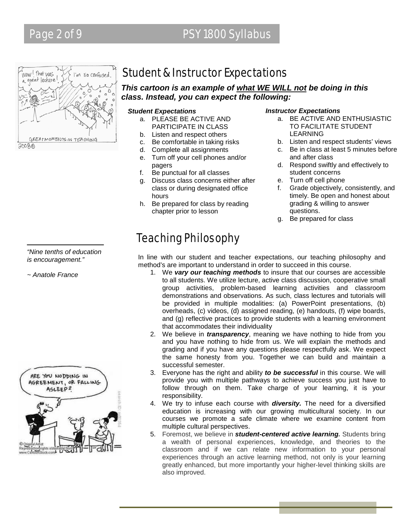# Page 2 of 9 PSY 1800 Syllabus



Student & Instructor Expectations

*This cartoon is an example of what WE WILL not be doing in this class. Instead, you can expect the following:* 

#### *Student Expectations*

- a. PLEASE BE ACTIVE AND PARTICIPATE IN CLASS
- b. Listen and respect others
- c. Be comfortable in taking risks
- d. Complete all assignments
- e. Turn off your cell phones and/or pagers
- f. Be punctual for all classes
- g. Discuss class concerns either after class or during designated office hours
- h. Be prepared for class by reading chapter prior to lesson

#### *Instructor Expectations*

- a. BE ACTIVE AND ENTHUSIASTIC TO FACILITATE STUDENT LEARNING
- b. Listen and respect students' views
- c. Be in class at least 5 minutes before and after class
- d. Respond swiftly and effectively to student concerns
- e. Turn off cell phone
- f. Grade objectively, consistently, and timely. Be open and honest about grading & willing to answer questions.
- g. Be prepared for class

# Teaching Philosophy

In line with our student and teacher expectations, our teaching philosophy and method's are important to understand in order to succeed in this course.

- 1. We *vary our teaching methods* to insure that our courses are accessible to all students. We utilize lecture, active class discussion, cooperative small group activities, problem-based learning activities and classroom demonstrations and observations. As such, class lectures and tutorials will be provided in multiple modalities: (a) PowerPoint presentations, (b) overheads, (c) videos, (d) assigned reading, (e) handouts, (f) wipe boards, and (g) reflective practices to provide students with a learning environment that accommodates their individuality
- 2. We believe in *transparency*, meaning we have nothing to hide from you and you have nothing to hide from us. We will explain the methods and grading and if you have any questions please respectfully ask. We expect the same honesty from you. Together we can build and maintain a successful semester.
- 3. Everyone has the right and ability *to be successful* in this course. We will provide you with multiple pathways to achieve success you just have to follow through on them. Take charge of your learning, it is your responsibility.
- 4. We try to infuse each course with *diversity.* The need for a diversified education is increasing with our growing multicultural society. In our courses we promote a safe climate where we examine content from multiple cultural perspectives.
- 5. Foremost, we believe in *student-centered active learning.* Students bring a wealth of personal experiences, knowledge, and theories to the classroom and if we can relate new information to your personal experiences through an active learning method, not only is your learning greatly enhanced, but more importantly your higher-level thinking skills are also improved.

*"Nine tenths of education is encouragement."*

*~ Anatole France*

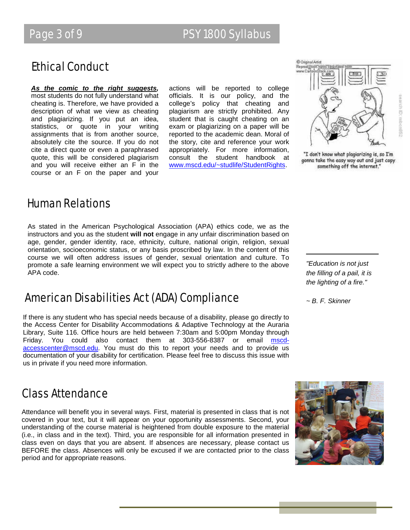# Ethical Conduct

*As the comic to the right suggests,* most students do not fully understand what cheating is. Therefore, we have provided a description of what we view as cheating and plagiarizing. If you put an idea, statistics, or quote in your writing assignments that is from another source, absolutely cite the source. If you do not cite a direct quote or even a paraphrased quote, this will be considered plagiarism and you will receive either an F in the course or an F on the paper and your actions will be reported to college officials. It is our policy, and the college's policy that cheating and plagiarism are strictly prohibited. Any student that is caught cheating on an exam or plagiarizing on a paper will be reported to the academic dean. Moral of the story, cite and reference your work appropriately. For more information, consult the student handbook at [www.mscd.edu/~studlife/StudentRights.](http://www.mscd.edu/~studlife/StudentRights) 



"I don't know what plagiarizing is, so I'm gonna take the easy way out and just copy something off the internet."

earch ID: mbcn852

## Human Relations

As stated in the American Psychological Association (APA) ethics code, we as the instructors and you as the student **will not** engage in any unfair discrimination based on age, gender, gender identity, race, ethnicity, culture, national origin, religion, sexual orientation, socioeconomic status, or any basis proscribed by law. In the content of this course we will often address issues of gender, sexual orientation and culture. To promote a safe learning environment we will expect you to strictly adhere to the above APA code.

## American Disabilities Act (ADA) Compliance

If there is any student who has special needs because of a disability, please go directly to the Access Center for Disability Accommodations & Adaptive Technology at the Auraria Library, Suite 116. Office hours are held between 7:30am and 5:00pm Monday through Friday. You could also contact them at 303-556-8387 or email [mscd](mailto:mscd-accesscenter@mscd.edu)[accesscenter@mscd.edu.](mailto:mscd-accesscenter@mscd.edu) You must do this to report your needs and to provide us documentation of your disability for certification. Please feel free to discuss this issue with us in private if you need more information.

Class Attendance

Attendance will benefit you in several ways. First, material is presented in class that is not covered in your text, but it will appear on your opportunity assessments. Second, your understanding of the course material is heightened from double exposure to the material (i.e., in class and in the text). Third, you are responsible for all information presented in class even on days that you are absent. If absences are necessary, please contact us BEFORE the class. Absences will only be excused if we are contacted prior to the class period and for appropriate reasons.

*"Education is not just the filling of a pail, it is the lighting of a fire."*

*~ B. F. Skinner* 

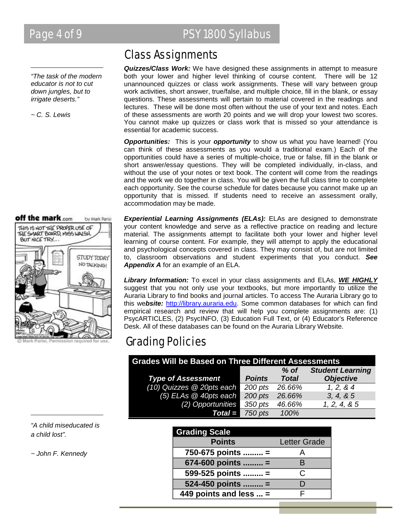*"The task of the modern educator is not to cut down jungles, but to irrigate deserts."*

*~ C. S. Lewis*



ermission required for

# Page 4 of 9 PSY 1800 Syllabus

## Class Assignments

*Quizzes/Class Work:* We have designed these assignments in attempt to measure both your lower and higher level thinking of course content. There will be 12 unannounced quizzes or class work assignments. These will vary between group work activities, short answer, true/false, and multiple choice, fill in the blank, or essay questions. These assessments will pertain to material covered in the readings and lectures. These will be done most often without the use of your text and notes. Each of these assessments are worth 20 points and we will drop your lowest two scores. You cannot make up quizzes or class work that is missed so your attendance is essential for academic success.

*Opportunities:* This is your *opportunity* to show us what you have learned! (You can think of these assessments as you would a traditional exam.) Each of the opportunities could have a series of multiple-choice, true or false, fill in the blank or short answer/essay questions. They will be completed individually, in-class, and without the use of your notes or text book. The content will come from the readings and the work we do together in class. You will be given the full class time to complete each opportunity. See the course schedule for dates because you cannot make up an opportunity that is missed. If students need to receive an assessment orally, accommodation may be made.

*Experiential Learning Assignments (ELAs):* ELAs are designed to demonstrate your content knowledge and serve as a reflective practice on reading and lecture material. The assignments attempt to facilitate both your lower and higher level learning of course content. For example, they will attempt to apply the educational and psychological concepts covered in class. They may consist of, but are not limited to, classroom observations and student experiments that you conduct. *See Appendix A* for an example of an ELA.

*Library Information:* To excel in your class assignments and ELAs, *WE HIGHLY* suggest that you not only use your textbooks, but more importantly to utilize the Auraria Library to find books and journal articles. To access The Auraria Library go to this we*bsite:* [http://library.auraria.edu.](http://library.auraria.edu/) Some common databases for which can find empirical research and review that will help you complete assignments are: (1) PsycARTICLES, (2) PsycINFO, (3) Education Full Text, or (4) Educator's Reference Desk. All of these databases can be found on the Auraria Library Website.

# Grading Policies

| <b>Grades Will be Based on Three Different Assessments</b> |               |              |                         |  |  |
|------------------------------------------------------------|---------------|--------------|-------------------------|--|--|
|                                                            |               | $%$ of       | <b>Student Learning</b> |  |  |
| <b>Type of Assessment</b>                                  | <b>Points</b> | <b>Total</b> | <b>Objective</b>        |  |  |
| (10) Quizzes @ 20pts each                                  | 200 pts       | 26.66%       | 1, 2, 8, 4              |  |  |
| $(5)$ ELAs $@$ 40pts each                                  | 200 pts       | 26.66%       | 3, 4, 8, 5              |  |  |
| (2) Opportunities                                          | 350 pts       | 46.66%       | 1, 2, 4, 8, 5           |  |  |
| $Total =$                                                  | 750 pts       | 100%         |                         |  |  |
|                                                            |               |              |                         |  |  |

| <b>Grading Scale</b>   |                     |
|------------------------|---------------------|
| <b>Points</b>          | <b>Letter Grade</b> |
| 750-675 points  =      |                     |
| 674-600 points  =      | R                   |
| 599-525 points  =      | C.                  |
| 524-450 points  =      |                     |
| 449 points and less  = |                     |

*"A child miseducated is a child lost".* 

*~ John F. Kennedy*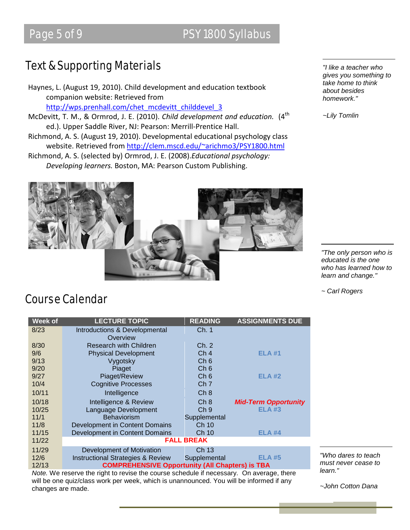# Page 5 of 9 PSY 1800 Syllabus

# Text & Supporting Materials

Haynes, L. (August 19, 2010). Child development and education textbook companion website: Retrieved from [http://wps.prenhall.com/chet\\_mcdevitt\\_childdevel\\_3](http://wps.prenhall.com/chet_mcdevitt_childdevel_3)

- McDevitt, T. M., & Ormrod, J. E. (2010). *Child development and education.* (4<sup>th</sup> ed.). Upper Saddle River, NJ: Pearson: Merrill-Prentice Hall.
- Richmond, A. S. (August 19, 2010). Developmental educational psychology class website. Retrieved from <http://clem.mscd.edu/~arichmo3/PSY1800.html>

Richmond, A. S. (selected by) Ormrod, J. E. (2008).*Educational psychology: Developing learners.* Boston, MA: Pearson Custom Publishing.



*"I like a teacher who gives you something to take home to think about besides homework."*

*~Lily Tomlin*

*"The only person who is educated is the one who has learned how to learn and change."* 

*~ Carl Rogers*

## Course Calendar

| <b>Week of</b>                                                                           | <b>LECTURE TOPIC</b>                                   | <b>READING</b>  | <b>ASSIGNMENTS DUE</b>      |  |  |
|------------------------------------------------------------------------------------------|--------------------------------------------------------|-----------------|-----------------------------|--|--|
| 8/23                                                                                     | Introductions & Developmental                          | Ch. 1           |                             |  |  |
|                                                                                          | Overview                                               |                 |                             |  |  |
| 8/30                                                                                     | <b>Research with Children</b>                          | Ch. 2           |                             |  |  |
| 9/6                                                                                      | <b>Physical Development</b>                            | Ch <sub>4</sub> | <b>ELA#1</b>                |  |  |
| 9/13                                                                                     | Vygotsky                                               | Ch <sub>6</sub> |                             |  |  |
| 9/20                                                                                     | Piaget                                                 | Ch <sub>6</sub> |                             |  |  |
| 9/27                                                                                     | Piaget/Review                                          | Ch <sub>6</sub> | ELA #2                      |  |  |
| 10/4                                                                                     | <b>Cognitive Processes</b>                             | Ch <sub>7</sub> |                             |  |  |
| 10/11                                                                                    | Intelligence                                           | Ch <sub>8</sub> |                             |  |  |
| 10/18                                                                                    | Intelligence & Review                                  | Ch 8            | <b>Mid-Term Opportunity</b> |  |  |
| 10/25                                                                                    | Language Development                                   | Ch <sub>9</sub> | <b>ELA #3</b>               |  |  |
| 11/1                                                                                     | <b>Behaviorism</b>                                     | Supplemental    |                             |  |  |
| 11/8                                                                                     | Development in Content Domains                         | Ch 10           |                             |  |  |
| 11/15                                                                                    | Development in Content Domains                         | Ch 10           | <b>ELA #4</b>               |  |  |
| 11/22                                                                                    | <b>FALL BREAK</b>                                      |                 |                             |  |  |
| 11/29                                                                                    | Development of Motivation                              | Ch 13           |                             |  |  |
| 12/6                                                                                     | <b>Instructional Strategies &amp; Review</b>           | Supplemental    | <b>ELA #5</b>               |  |  |
| 12/13                                                                                    | <b>COMPREHENSIVE Opportunity (All Chapters) is TBA</b> |                 |                             |  |  |
| Note. We reserve the right to revise the course schedule if necessary. On average, there |                                                        |                 |                             |  |  |

will be one quiz/class work per week, which is unannounced. You will be informed if any changes are made.

*"Who dares to teach must never cease to learn."* 

*~John Cotton Dana*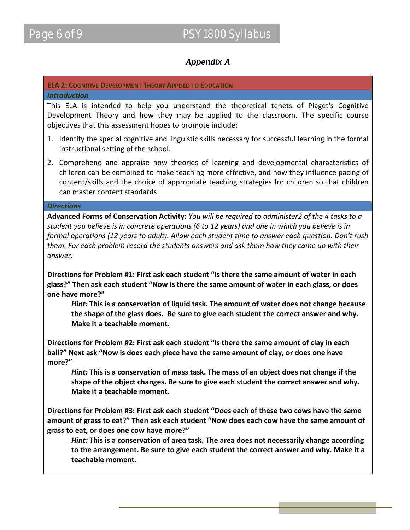## *Appendix A*

## **ELA 2: COGNITIVE DEVELOPMENT THEORY APPLIED TO EDUCATION**

### *Introduction*

This ELA is intended to help you understand the theoretical tenets of Piaget's Cognitive Development Theory and how they may be applied to the classroom. The specific course objectives that this assessment hopes to promote include:

- 1. Identify the special cognitive and linguistic skills necessary for successful learning in the formal instructional setting of the school.
- 2. Comprehend and appraise how theories of learning and developmental characteristics of children can be combined to make teaching more effective, and how they influence pacing of content/skills and the choice of appropriate teaching strategies for children so that children can master content standards

### *Directions*

**Advanced Forms of Conservation Activity:** *You will be required to administer2 of the 4 tasks to a student you believe is in concrete operations (6 to 12 years) and one in which you believe is in formal operations (12 years to adult). Allow each student time to answer each question. Don't rush them. For each problem record the students answers and ask them how they came up with their answer.* 

**Directions for Problem #1: First ask each student "Is there the same amount of water in each glass?" Then ask each student "Now is there the same amount of water in each glass, or does one have more?"** 

*Hint:* **This is a conservation of liquid task. The amount of water does not change because the shape of the glass does. Be sure to give each student the correct answer and why. Make it a teachable moment.** 

**Directions for Problem #2: First ask each student "Is there the same amount of clay in each ball?" Next ask "Now is does each piece have the same amount of clay, or does one have more?"** 

*Hint:* **This is a conservation of mass task. The mass of an object does not change if the shape of the object changes. Be sure to give each student the correct answer and why. Make it a teachable moment.** 

**Directions for Problem #3: First ask each student "Does each of these two cows have the same amount of grass to eat?" Then ask each student "Now does each cow have the same amount of grass to eat, or does one cow have more?"** 

*Hint:* **This is a conservation of area task. The area does not necessarily change according to the arrangement. Be sure to give each student the correct answer and why. Make it a teachable moment.**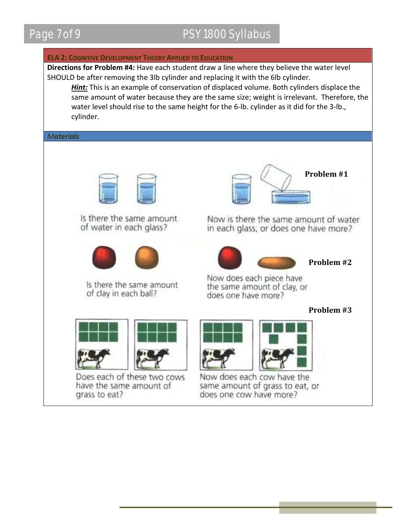## Page 7 of 9 PSY 1800 Syllabus

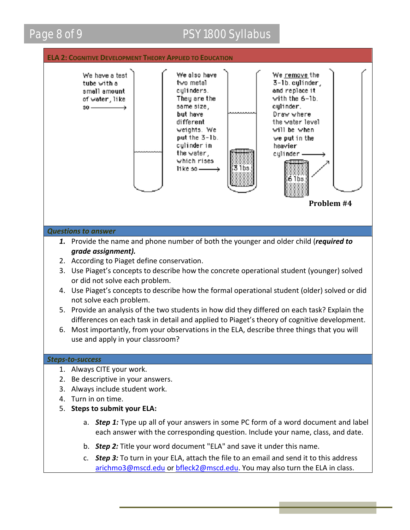## Page 8 of 9 PSY 1800 Syllabus